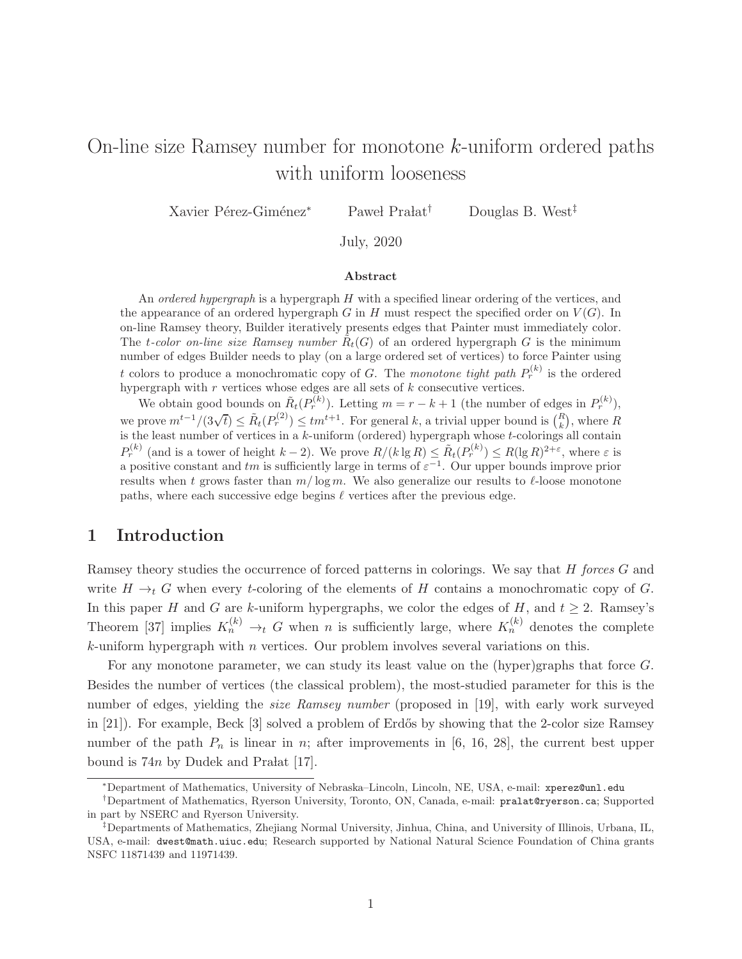# On-line size Ramsey number for monotone k-uniform ordered paths with uniform looseness

Xavier Pérez-Giménez<sup>∗</sup> Paweł Prałat<sup>†</sup> Douglas B. West<sup>‡</sup>

July, 2020

#### Abstract

An *ordered hypergraph* is a hypergraph  $H$  with a specified linear ordering of the vertices, and the appearance of an ordered hypergraph G in H must respect the specified order on  $V(G)$ . In on-line Ramsey theory, Builder iteratively presents edges that Painter must immediately color. The *t*-color on-line size Ramsey number  $\tilde{R}_t(G)$  of an ordered hypergraph G is the minimum number of edges Builder needs to play (on a large ordered set of vertices) to force Painter using t colors to produce a monochromatic copy of G. The monotone tight path  $P_r^{(k)}$  is the ordered hypergraph with  $r$  vertices whose edges are all sets of  $k$  consecutive vertices.

We obtain good bounds on  $\tilde{R}_t(P_r^{(k)})$ . Letting  $m = r - k + 1$  (the number of edges in  $P_r^{(k)}$ ), we prove  $m^{t-1}/(3\sqrt{t}) \leq \tilde{R}_t(P_r^{(2)}) \leq tm^{t+1}$ . For general k, a trivial upper bound is  $\binom{R}{k}$ , where R is the least number of vertices in a  $k$ -uniform (ordered) hypergraph whose  $t$ -colorings all contain  $P_r^{(k)}$  (and is a tower of height  $k-2$ ). We prove  $R/(k \lg R) \leq \tilde{R}_t(P_r^{(k)}) \leq R(\lg R)^{2+\varepsilon}$ , where  $\varepsilon$  is a positive constant and tm is sufficiently large in terms of  $\varepsilon^{-1}$ . Our upper bounds improve prior results when t grows faster than  $m/\log m$ . We also generalize our results to  $\ell$ -loose monotone paths, where each successive edge begins  $\ell$  vertices after the previous edge.

## 1 Introduction

Ramsey theory studies the occurrence of forced patterns in colorings. We say that H forces G and write  $H \to_t G$  when every t-coloring of the elements of H contains a monochromatic copy of G. In this paper H and G are k-uniform hypergraphs, we color the edges of H, and  $t \geq 2$ . Ramsey's Theorem [37] implies  $K_n^{(k)} \to_t G$  when n is sufficiently large, where  $K_n^{(k)}$  denotes the complete  $k$ -uniform hypergraph with  $n$  vertices. Our problem involves several variations on this.

For any monotone parameter, we can study its least value on the (hyper)graphs that force G. Besides the number of vertices (the classical problem), the most-studied parameter for this is the number of edges, yielding the size Ramsey number (proposed in [19], with early work surveyed in [21]). For example, Beck [3] solved a problem of Erdős by showing that the 2-color size Ramsey number of the path  $P_n$  is linear in n; after improvements in [6, 16, 28], the current best upper bound is  $74n$  by Dudek and Pralat [17].

<sup>∗</sup>Department of Mathematics, University of Nebraska–Lincoln, Lincoln, NE, USA, e-mail: xperez@unl.edu

<sup>†</sup>Department of Mathematics, Ryerson University, Toronto, ON, Canada, e-mail: pralat@ryerson.ca; Supported in part by NSERC and Ryerson University.

<sup>‡</sup>Departments of Mathematics, Zhejiang Normal University, Jinhua, China, and University of Illinois, Urbana, IL, USA, e-mail: dwest@math.uiuc.edu; Research supported by National Natural Science Foundation of China grants NSFC 11871439 and 11971439.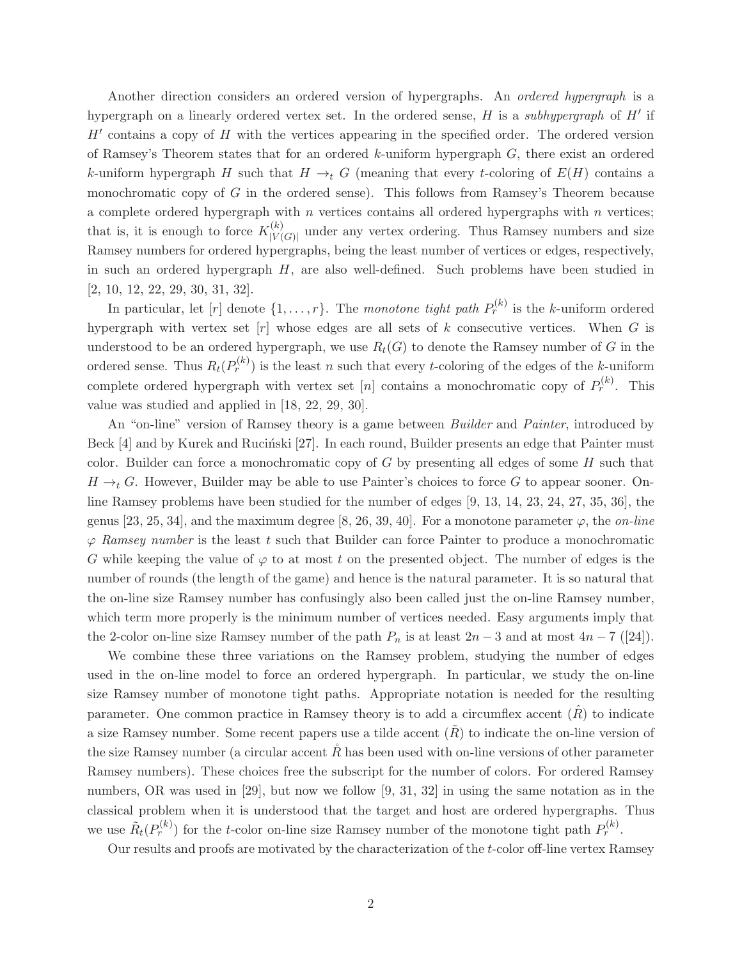Another direction considers an ordered version of hypergraphs. An ordered hypergraph is a hypergraph on a linearly ordered vertex set. In the ordered sense,  $H$  is a *subhypergraph* of  $H'$  if  $H'$  contains a copy of  $H$  with the vertices appearing in the specified order. The ordered version of Ramsey's Theorem states that for an ordered k-uniform hypergraph  $G$ , there exist an ordered k-uniform hypergraph H such that  $H \to_t G$  (meaning that every t-coloring of  $E(H)$  contains a monochromatic copy of  $G$  in the ordered sense). This follows from Ramsey's Theorem because a complete ordered hypergraph with  $n$  vertices contains all ordered hypergraphs with  $n$  vertices; that is, it is enough to force  $K_{|V|}^{(k)}$  $|V(G)|$  under any vertex ordering. Thus Ramsey numbers and size Ramsey numbers for ordered hypergraphs, being the least number of vertices or edges, respectively, in such an ordered hypergraph  $H$ , are also well-defined. Such problems have been studied in [2, 10, 12, 22, 29, 30, 31, 32].

In particular, let  $[r]$  denote  $\{1,\ldots,r\}$ . The monotone tight path  $P_r^{(k)}$  is the k-uniform ordered hypergraph with vertex set  $[r]$  whose edges are all sets of k consecutive vertices. When G is understood to be an ordered hypergraph, we use  $R_t(G)$  to denote the Ramsey number of G in the ordered sense. Thus  $R_t(P_r^{(k)})$  is the least n such that every t-coloring of the edges of the k-uniform complete ordered hypergraph with vertex set [n] contains a monochromatic copy of  $P_r^{(k)}$ . This value was studied and applied in [18, 22, 29, 30].

An "on-line" version of Ramsey theory is a game between *Builder* and *Painter*, introduced by Beck  $[4]$  and by Kurek and Rucinski  $[27]$ . In each round, Builder presents an edge that Painter must color. Builder can force a monochromatic copy of  $G$  by presenting all edges of some  $H$  such that  $H \rightarrow_t G$ . However, Builder may be able to use Painter's choices to force G to appear sooner. Online Ramsey problems have been studied for the number of edges [9, 13, 14, 23, 24, 27, 35, 36], the genus [23, 25, 34], and the maximum degree [8, 26, 39, 40]. For a monotone parameter  $\varphi$ , the *on-line*  $\varphi$  Ramsey number is the least t such that Builder can force Painter to produce a monochromatic G while keeping the value of  $\varphi$  to at most t on the presented object. The number of edges is the number of rounds (the length of the game) and hence is the natural parameter. It is so natural that the on-line size Ramsey number has confusingly also been called just the on-line Ramsey number, which term more properly is the minimum number of vertices needed. Easy arguments imply that the 2-color on-line size Ramsey number of the path  $P_n$  is at least  $2n-3$  and at most  $4n-7$  ([24]).

We combine these three variations on the Ramsey problem, studying the number of edges used in the on-line model to force an ordered hypergraph. In particular, we study the on-line size Ramsey number of monotone tight paths. Appropriate notation is needed for the resulting parameter. One common practice in Ramsey theory is to add a circumflex accent  $(\hat{R})$  to indicate a size Ramsey number. Some recent papers use a tilde accent  $(\tilde{R})$  to indicate the on-line version of the size Ramsey number (a circular accent  $\tilde{R}$  has been used with on-line versions of other parameter Ramsey numbers). These choices free the subscript for the number of colors. For ordered Ramsey numbers, OR was used in [29], but now we follow [9, 31, 32] in using the same notation as in the classical problem when it is understood that the target and host are ordered hypergraphs. Thus we use  $\tilde{R}_t(P_r^{(k)})$  for the t-color on-line size Ramsey number of the monotone tight path  $P_r^{(k)}$ .

Our results and proofs are motivated by the characterization of the t-color off-line vertex Ramsey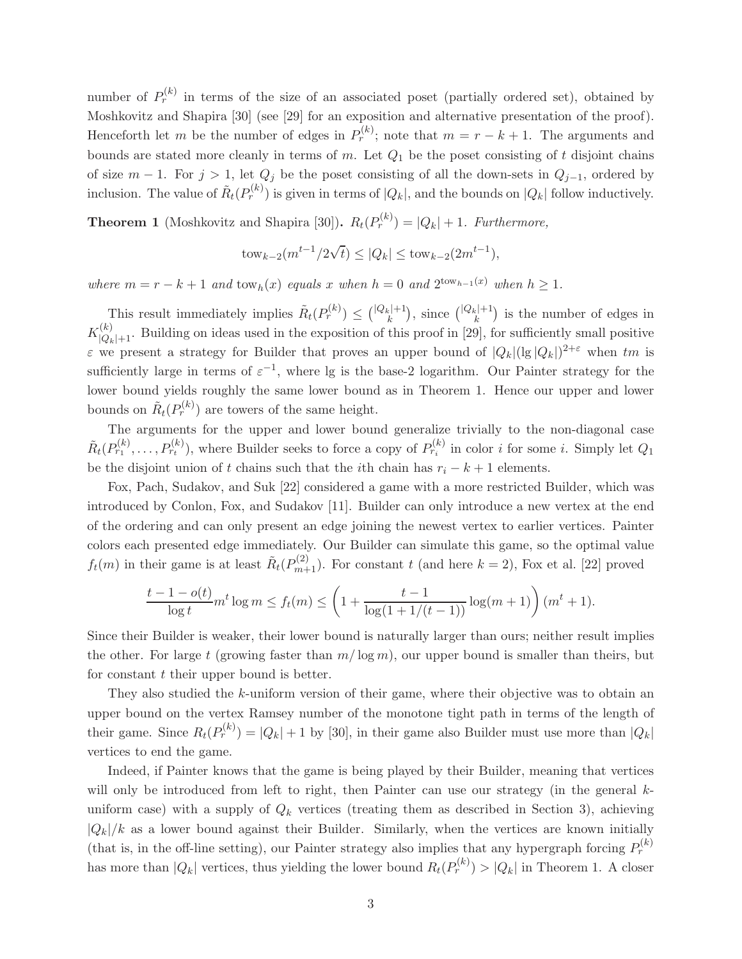number of  $P_r^{(k)}$  in terms of the size of an associated poset (partially ordered set), obtained by Moshkovitz and Shapira [30] (see [29] for an exposition and alternative presentation of the proof). Henceforth let m be the number of edges in  $P_r^{(k)}$ ; note that  $m = r - k + 1$ . The arguments and bounds are stated more cleanly in terms of m. Let  $Q_1$  be the poset consisting of t disjoint chains of size  $m-1$ . For  $j > 1$ , let  $Q_j$  be the poset consisting of all the down-sets in  $Q_{j-1}$ , ordered by inclusion. The value of  $\tilde{R}_t(P_r^{(k)})$  is given in terms of  $|Q_k|$ , and the bounds on  $|Q_k|$  follow inductively.

**Theorem 1** (Moshkovitz and Shapira [30]).  $R_t(P_r^{(k)}) = |Q_k| + 1$ . Furthermore,

$$
tow_{k-2}(m^{t-1}/2\sqrt{t}) \le |Q_k| \le tow_{k-2}(2m^{t-1}),
$$

where  $m = r - k + 1$  and  $\text{tow}_h(x)$  equals x when  $h = 0$  and  $2^{\text{tow}_{h-1}(x)}$  when  $h \geq 1$ .

This result immediately implies  $\tilde{R}_t(P_r^{(k)}) \leq \binom{|Q_k|+1}{k}$  $\binom{k}{k}$ , since  $\binom{|Q_k|+1}{k}$  $\binom{k}{k}$  is the number of edges in  $K_{|Q_k|+1}^{(k)}$ . Building on ideas used in the exposition of this proof in [29], for sufficiently small positive  $\varepsilon$  we present a strategy for Builder that proves an upper bound of  $|Q_k| (lg |Q_k|)^{2+\varepsilon}$  when  $tm$  is sufficiently large in terms of  $\varepsilon^{-1}$ , where lg is the base-2 logarithm. Our Painter strategy for the lower bound yields roughly the same lower bound as in Theorem 1. Hence our upper and lower bounds on  $\tilde{R}_t(P_r^{(k)})$  are towers of the same height.

The arguments for the upper and lower bound generalize trivially to the non-diagonal case  $\tilde{R}_t(P_{r_1}^{(k)},\ldots,P_{r_t}^{(k)})$ , where Builder seeks to force a copy of  $P_{r_i}^{(k)}$  in color i for some i. Simply let  $Q_1$ be the disjoint union of t chains such that the *i*th chain has  $r_i - k + 1$  elements.

Fox, Pach, Sudakov, and Suk [22] considered a game with a more restricted Builder, which was introduced by Conlon, Fox, and Sudakov [11]. Builder can only introduce a new vertex at the end of the ordering and can only present an edge joining the newest vertex to earlier vertices. Painter colors each presented edge immediately. Our Builder can simulate this game, so the optimal value  $f_t(m)$  in their game is at least  $\tilde{R}_t(P_{m+1}^{(2)})$ . For constant t (and here  $k = 2$ ), Fox et al. [22] proved

$$
\frac{t-1-o(t)}{\log t}m^t\log m \le f_t(m) \le \left(1+\frac{t-1}{\log(1+1/(t-1))}\log(m+1)\right)(m^t+1).
$$

Since their Builder is weaker, their lower bound is naturally larger than ours; neither result implies the other. For large t (growing faster than  $m/\log m$ ), our upper bound is smaller than theirs, but for constant  $t$  their upper bound is better.

They also studied the k-uniform version of their game, where their objective was to obtain an upper bound on the vertex Ramsey number of the monotone tight path in terms of the length of their game. Since  $R_t(P_r^{(k)}) = |Q_k| + 1$  by [30], in their game also Builder must use more than  $|Q_k|$ vertices to end the game.

Indeed, if Painter knows that the game is being played by their Builder, meaning that vertices will only be introduced from left to right, then Painter can use our strategy (in the general kuniform case) with a supply of  $Q_k$  vertices (treating them as described in Section 3), achieving  $|Q_k|/k$  as a lower bound against their Builder. Similarly, when the vertices are known initially (that is, in the off-line setting), our Painter strategy also implies that any hypergraph forcing  $P_r^{(k)}$ has more than  $|Q_k|$  vertices, thus yielding the lower bound  $R_t(P_r^{(k)}) > |Q_k|$  in Theorem 1. A closer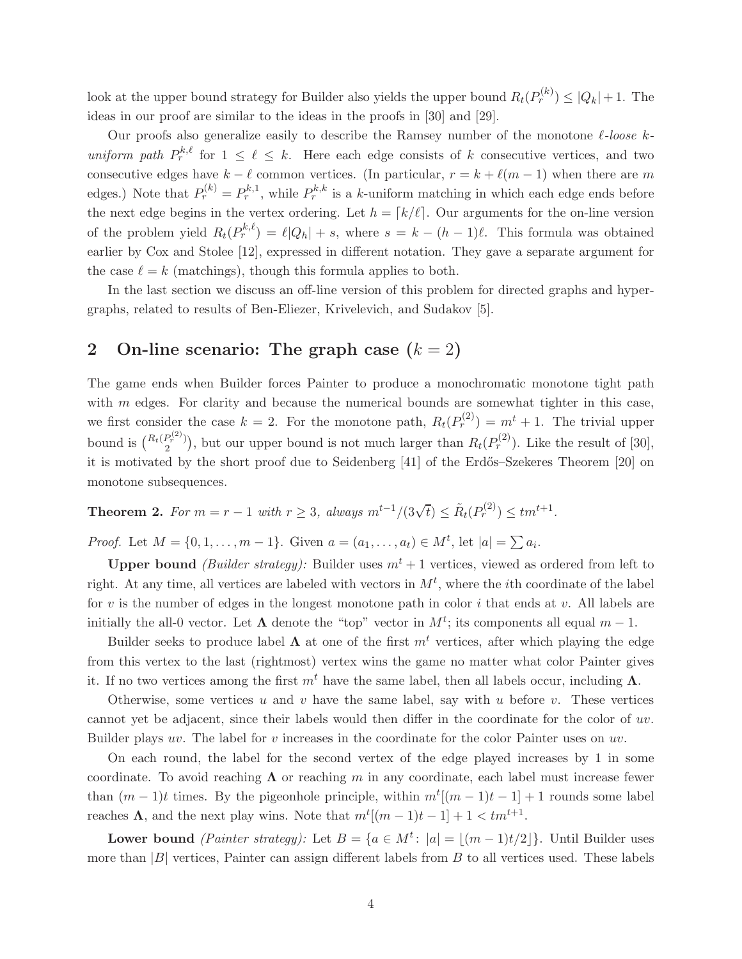look at the upper bound strategy for Builder also yields the upper bound  $R_t(P_r^{(k)}) \leq |Q_k| + 1$ . The ideas in our proof are similar to the ideas in the proofs in [30] and [29].

Our proofs also generalize easily to describe the Ramsey number of the monotone  $\ell$ -loose kuniform path  $P_r^{k,\ell}$  for  $1 \leq \ell \leq k$ . Here each edge consists of k consecutive vertices, and two consecutive edges have  $k - \ell$  common vertices. (In particular,  $r = k + \ell(m - 1)$  when there are m edges.) Note that  $P_r^{(k)} = P_r^{k,1}$ , while  $P_r^{k,k}$  is a k-uniform matching in which each edge ends before the next edge begins in the vertex ordering. Let  $h = \lfloor k/\ell \rfloor$ . Our arguments for the on-line version of the problem yield  $R_t(P_r^{k,\ell}) = \ell |Q_h| + s$ , where  $s = k - (h-1)\ell$ . This formula was obtained earlier by Cox and Stolee [12], expressed in different notation. They gave a separate argument for the case  $\ell = k$  (matchings), though this formula applies to both.

In the last section we discuss an off-line version of this problem for directed graphs and hypergraphs, related to results of Ben-Eliezer, Krivelevich, and Sudakov [5].

# 2 On-line scenario: The graph case  $(k = 2)$

The game ends when Builder forces Painter to produce a monochromatic monotone tight path with  $m$  edges. For clarity and because the numerical bounds are somewhat tighter in this case, we first consider the case  $k = 2$ . For the monotone path,  $R_t(P_r^{(2)}) = m^t + 1$ . The trivial upper bound is  $\binom{R_t(P_r^{(2)})}{2}$  $P_T^{(2)}$ , but our upper bound is not much larger than  $R_t(P_T^{(2)})$ . Like the result of [30], it is motivated by the short proof due to Seidenberg [41] of the Erdős–Szekeres Theorem [20] on monotone subsequences.

Theorem 2. For  $m = r - 1$  with  $r \geq 3$ , always  $m^{t-1}/(3\sqrt{t}) \leq \tilde{R}_t(P_r^{(2)}) \leq tm^{t+1}$ .

*Proof.* Let  $M = \{0, 1, ..., m - 1\}$ . Given  $a = (a_1, ..., a_t) \in M^t$ , let  $|a| = \sum a_i$ .

**Upper bound** (Builder strategy): Builder uses  $m^t + 1$  vertices, viewed as ordered from left to right. At any time, all vertices are labeled with vectors in  $M^t$ , where the *i*th coordinate of the label for v is the number of edges in the longest monotone path in color  $i$  that ends at v. All labels are initially the all-0 vector. Let  $\Lambda$  denote the "top" vector in  $M^t$ ; its components all equal  $m-1$ .

Builder seeks to produce label  $\Lambda$  at one of the first  $m<sup>t</sup>$  vertices, after which playing the edge from this vertex to the last (rightmost) vertex wins the game no matter what color Painter gives it. If no two vertices among the first  $m<sup>t</sup>$  have the same label, then all labels occur, including  $\Lambda$ .

Otherwise, some vertices u and v have the same label, say with u before v. These vertices cannot yet be adjacent, since their labels would then differ in the coordinate for the color of uv. Builder plays uv. The label for v increases in the coordinate for the color Painter uses on uv.

On each round, the label for the second vertex of the edge played increases by 1 in some coordinate. To avoid reaching  $\Lambda$  or reaching m in any coordinate, each label must increase fewer than  $(m-1)t$  times. By the pigeonhole principle, within  $m^t[(m-1)t-1]+1$  rounds some label reaches  $\Lambda$ , and the next play wins. Note that  $m^t[(m-1)t-1]+1 < tm^{t+1}$ .

Lower bound (*Painter strategy*): Let  $B = \{a \in M^t: |a| = \lfloor (m-1)t/2 \rfloor\}$ . Until Builder uses more than  $|B|$  vertices, Painter can assign different labels from B to all vertices used. These labels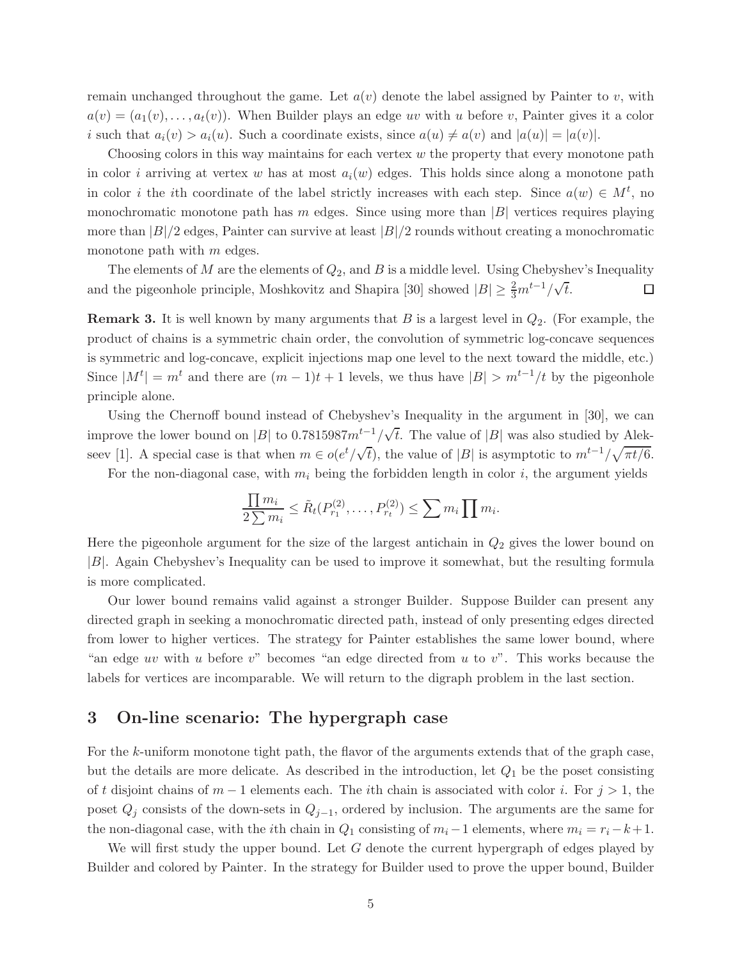remain unchanged throughout the game. Let  $a(v)$  denote the label assigned by Painter to v, with  $a(v) = (a_1(v), \ldots, a_t(v))$ . When Builder plays an edge uv with u before v, Painter gives it a color i such that  $a_i(v) > a_i(u)$ . Such a coordinate exists, since  $a(u) \neq a(v)$  and  $|a(u)| = |a(v)|$ .

Choosing colors in this way maintains for each vertex  $w$  the property that every monotone path in color i arriving at vertex w has at most  $a_i(w)$  edges. This holds since along a monotone path in color *i* the *i*th coordinate of the label strictly increases with each step. Since  $a(w) \in M^t$ , no monochromatic monotone path has m edges. Since using more than  $|B|$  vertices requires playing more than  $|B|/2$  edges, Painter can survive at least  $|B|/2$  rounds without creating a monochromatic monotone path with  $m$  edges.

The elements of M are the elements of  $Q_2$ , and B is a middle level. Using Chebyshev's Inequality and the pigeonhole principle, Moshkovitz and Shapira [30] showed  $|B| \geq \frac{2}{3}m^{t-1}/\sqrt{t}$ .  $\Box$ 

**Remark 3.** It is well known by many arguments that B is a largest level in  $Q_2$ . (For example, the product of chains is a symmetric chain order, the convolution of symmetric log-concave sequences is symmetric and log-concave, explicit injections map one level to the next toward the middle, etc.) Since  $|M^t| = m^t$  and there are  $(m-1)t + 1$  levels, we thus have  $|B| > m^{t-1}/t$  by the pigeonhole principle alone.

Using the Chernoff bound instead of Chebyshev's Inequality in the argument in [30], we can improve the lower bound on |B| to 0.7815987 $m^{t-1}/\sqrt{t}$ . The value of |B| was also studied by Alekseev [1]. A special case is that when  $m \in o(e^t/\sqrt{t})$ , the value of |B| is asymptotic to  $m^{t-1}/\sqrt{\pi t/6}$ .

For the non-diagonal case, with  $m_i$  being the forbidden length in color i, the argument yields

$$
\frac{\prod m_i}{2\sum m_i} \leq \tilde{R}_t(P_{r_1}^{(2)}, \dots, P_{r_t}^{(2)}) \leq \sum m_i \prod m_i.
$$

Here the pigeonhole argument for the size of the largest antichain in  $Q_2$  gives the lower bound on |B|. Again Chebyshev's Inequality can be used to improve it somewhat, but the resulting formula is more complicated.

Our lower bound remains valid against a stronger Builder. Suppose Builder can present any directed graph in seeking a monochromatic directed path, instead of only presenting edges directed from lower to higher vertices. The strategy for Painter establishes the same lower bound, where "an edge uv with u before v" becomes "an edge directed from u to v". This works because the labels for vertices are incomparable. We will return to the digraph problem in the last section.

## 3 On-line scenario: The hypergraph case

For the k-uniform monotone tight path, the flavor of the arguments extends that of the graph case, but the details are more delicate. As described in the introduction, let  $Q_1$  be the poset consisting of t disjoint chains of  $m-1$  elements each. The *i*th chain is associated with color *i*. For  $j > 1$ , the poset  $Q_j$  consists of the down-sets in  $Q_{j-1}$ , ordered by inclusion. The arguments are the same for the non-diagonal case, with the *i*th chain in  $Q_1$  consisting of  $m_i-1$  elements, where  $m_i = r_i-k+1$ .

We will first study the upper bound. Let  $G$  denote the current hypergraph of edges played by Builder and colored by Painter. In the strategy for Builder used to prove the upper bound, Builder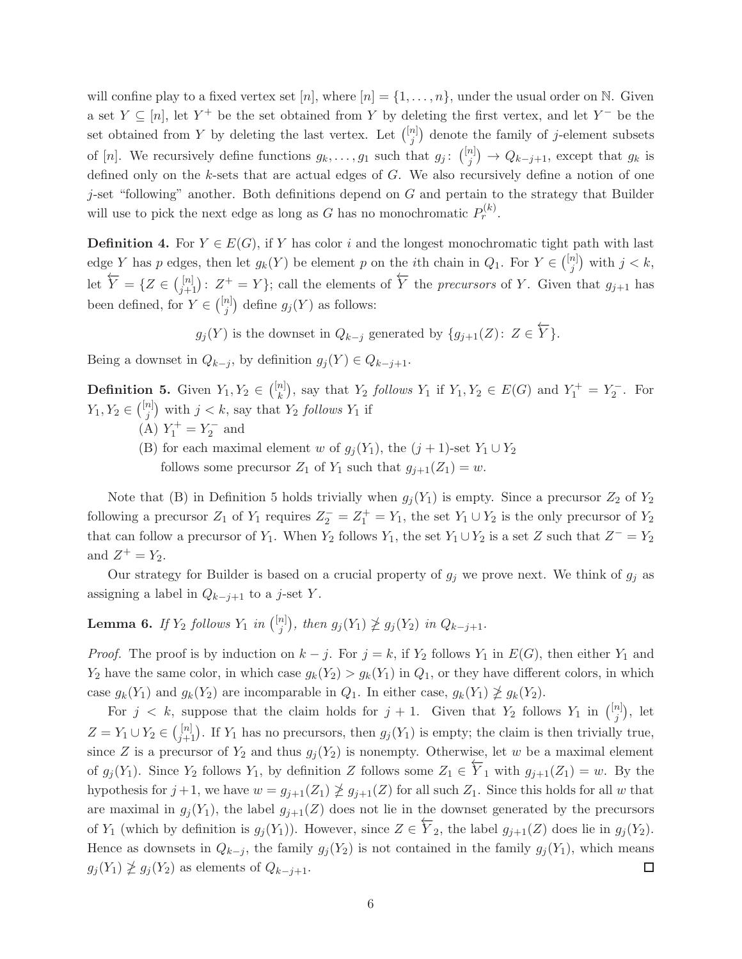will confine play to a fixed vertex set  $[n]$ , where  $[n] = \{1, \ldots, n\}$ , under the usual order on N. Given a set  $Y \subseteq [n]$ , let  $Y^+$  be the set obtained from Y by deleting the first vertex, and let  $Y^-$  be the set obtained from Y by deleting the last vertex. Let  $\binom{[n]}{i}$  $j^{(n)}$  denote the family of j-element subsets of [n]. We recursively define functions  $g_k, \ldots, g_1$  such that  $g_j: \binom{[n]}{j}$  $j^{(n)}(j) \rightarrow Q_{k-j+1}$ , except that  $g_k$  is defined only on the k-sets that are actual edges of G. We also recursively define a notion of one  $j$ -set "following" another. Both definitions depend on G and pertain to the strategy that Builder will use to pick the next edge as long as G has no monochromatic  $P_r^{(k)}$ .

**Definition 4.** For  $Y \in E(G)$ , if Y has color i and the longest monochromatic tight path with last edge Y has p edges, then let  $g_k(Y)$  be element p on the *i*th chain in  $Q_1$ . For  $Y \in \binom{[n]}{j}$  $_{j}^{n}$ ) with  $j < k$ , let  $\overleftarrow{Y} = \{Z \in \binom{[n]}{j+1} : Z^+ = Y\}$ ; call the elements of  $\overleftarrow{Y}$  the *precursors* of Y. Given that  $g_{j+1}$  has been defined, for  $Y \in \binom{[n]}{j}$  $j^{(n)}$  define  $g_j(Y)$  as follows:

 $g_j(Y)$  is the downset in  $Q_{k-j}$  generated by  $\{g_{j+1}(Z): Z \in \overleftarrow{Y}\}.$ 

Being a downset in  $Q_{k-j}$ , by definition  $g_j(Y) \in Q_{k-j+1}$ .

**Definition 5.** Given  $Y_1, Y_2 \in \binom{[n]}{k}$  $\binom{n}{k}$ , say that  $Y_2$  follows  $Y_1$  if  $Y_1, Y_2 \in E(G)$  and  $Y_1^+ = Y_2^-$ . For  $Y_1, Y_2 \in \binom{[n]}{j}$  $j^{(n)}$  with  $j < k$ , say that  $Y_2$  follows  $Y_1$  if

- (A)  $Y_1^+ = Y_2^-$  and
- (B) for each maximal element w of  $g_i(Y_1)$ , the  $(j + 1)$ -set  $Y_1 \cup Y_2$ follows some precursor  $Z_1$  of  $Y_1$  such that  $g_{j+1}(Z_1) = w$ .

Note that (B) in Definition 5 holds trivially when  $g_j(Y_1)$  is empty. Since a precursor  $Z_2$  of  $Y_2$ following a precursor  $Z_1$  of  $Y_1$  requires  $Z_2^- = Z_1^+ = Y_1$ , the set  $Y_1 \cup Y_2$  is the only precursor of  $Y_2$ that can follow a precursor of  $Y_1$ . When  $Y_2$  follows  $Y_1$ , the set  $Y_1 \cup Y_2$  is a set Z such that  $Z^- = Y_2$ and  $Z^+ = Y_2$ .

Our strategy for Builder is based on a crucial property of  $g_j$  we prove next. We think of  $g_j$  as assigning a label in  $Q_{k-j+1}$  to a j-set Y.

**Lemma 6.** If  $Y_2$  follows  $Y_1$  in  $\binom{[n]}{i}$  $j^{(n)}(y_j)$ , then  $g_j(Y_1) \not\geq g_j(Y_2)$  in  $Q_{k-j+1}$ .

*Proof.* The proof is by induction on  $k - j$ . For  $j = k$ , if  $Y_2$  follows  $Y_1$  in  $E(G)$ , then either  $Y_1$  and  $Y_2$  have the same color, in which case  $g_k(Y_2) > g_k(Y_1)$  in  $Q_1$ , or they have different colors, in which case  $g_k(Y_1)$  and  $g_k(Y_2)$  are incomparable in  $Q_1$ . In either case,  $g_k(Y_1) \ngeq g_k(Y_2)$ .

For  $j \leq k$ , suppose that the claim holds for  $j+1$ . Given that  $Y_2$  follows  $Y_1$  in  $\binom{[n]}{j}$  $\binom{n}{j}$ , let  $Z = Y_1 \cup Y_2 \in \binom{[n]}{j+1}$ . If  $Y_1$  has no precursors, then  $g_j(Y_1)$  is empty; the claim is then trivially true, since Z is a precursor of  $Y_2$  and thus  $g_j(Y_2)$  is nonempty. Otherwise, let w be a maximal element of  $g_j(Y_1)$ . Since  $Y_2$  follows  $Y_1$ , by definition Z follows some  $Z_1 \in \overleftarrow{Y}_1$  with  $g_{j+1}(Z_1) = w$ . By the hypothesis for  $j+1$ , we have  $w = g_{j+1}(Z_1) \ngeq g_{j+1}(Z)$  for all such  $Z_1$ . Since this holds for all w that are maximal in  $g_i(Y_1)$ , the label  $g_{i+1}(Z)$  does not lie in the downset generated by the precursors of  $Y_1$  (which by definition is  $g_j(Y_1)$ ). However, since  $Z \in \overleftarrow{Y}_2$ , the label  $g_{j+1}(Z)$  does lie in  $g_j(Y_2)$ . Hence as downsets in  $Q_{k-j}$ , the family  $g_j(Y_2)$  is not contained in the family  $g_j(Y_1)$ , which means  $g_j(Y_1) \not\geq g_j(Y_2)$  as elements of  $Q_{k-j+1}$ . □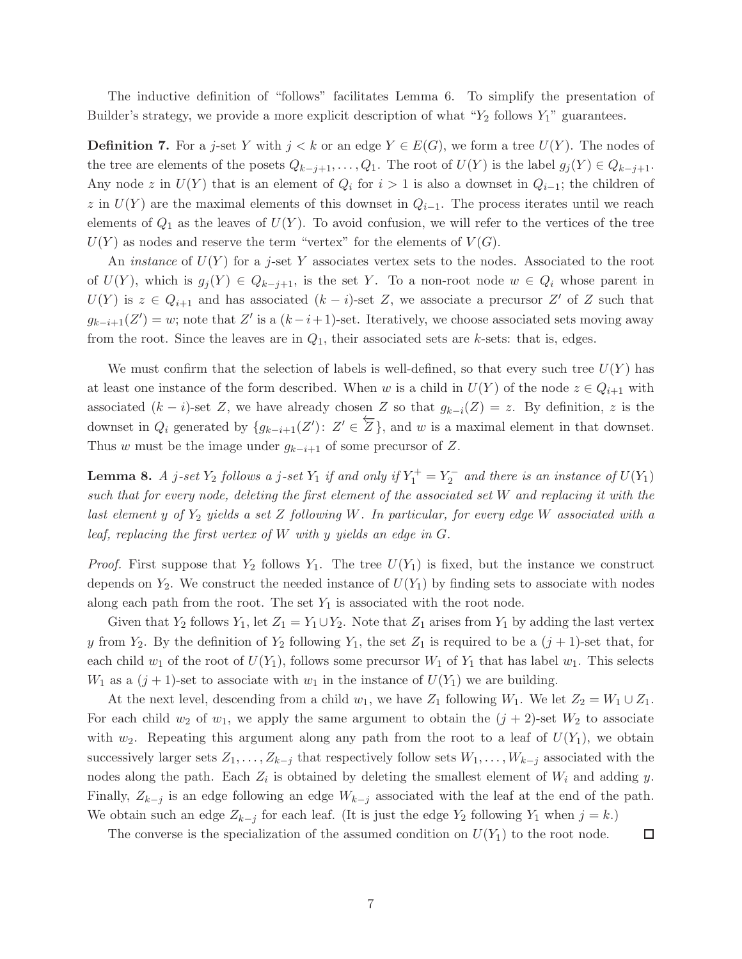The inductive definition of "follows" facilitates Lemma 6. To simplify the presentation of Builder's strategy, we provide a more explicit description of what " $Y_2$  follows  $Y_1$ " guarantees.

**Definition 7.** For a j-set Y with  $j < k$  or an edge  $Y \in E(G)$ , we form a tree  $U(Y)$ . The nodes of the tree are elements of the posets  $Q_{k-j+1}, \ldots, Q_1$ . The root of  $U(Y)$  is the label  $g_j(Y) \in Q_{k-j+1}$ . Any node z in  $U(Y)$  that is an element of  $Q_i$  for  $i > 1$  is also a downset in  $Q_{i-1}$ ; the children of z in  $U(Y)$  are the maximal elements of this downset in  $Q_{i-1}$ . The process iterates until we reach elements of  $Q_1$  as the leaves of  $U(Y)$ . To avoid confusion, we will refer to the vertices of the tree  $U(Y)$  as nodes and reserve the term "vertex" for the elements of  $V(G)$ .

An *instance* of  $U(Y)$  for a *j*-set Y associates vertex sets to the nodes. Associated to the root of  $U(Y)$ , which is  $g_i(Y) \in Q_{k-j+1}$ , is the set Y. To a non-root node  $w \in Q_i$  whose parent in  $U(Y)$  is  $z \in Q_{i+1}$  and has associated  $(k-i)$ -set Z, we associate a precursor Z' of Z such that  $g_{k-i+1}(Z') = w$ ; note that  $Z'$  is a  $(k-i+1)$ -set. Iteratively, we choose associated sets moving away from the root. Since the leaves are in  $Q_1$ , their associated sets are k-sets: that is, edges.

We must confirm that the selection of labels is well-defined, so that every such tree  $U(Y)$  has at least one instance of the form described. When w is a child in  $U(Y)$  of the node  $z \in Q_{i+1}$  with associated  $(k - i)$ -set Z, we have already chosen Z so that  $g_{k-i}(Z) = z$ . By definition, z is the downset in  $Q_i$  generated by  $\{g_{k-i+1}(Z')\colon Z' \in \overleftarrow{Z}\}$ , and w is a maximal element in that downset. Thus w must be the image under  $g_{k-i+1}$  of some precursor of Z.

**Lemma 8.** A j-set  $Y_2$  follows a j-set  $Y_1$  if and only if  $Y_1^+ = Y_2^-$  and there is an instance of  $U(Y_1)$ such that for every node, deleting the first element of the associated set W and replacing it with the last element y of  $Y_2$  yields a set Z following W. In particular, for every edge W associated with a leaf, replacing the first vertex of  $W$  with y yields an edge in  $G$ .

*Proof.* First suppose that  $Y_2$  follows  $Y_1$ . The tree  $U(Y_1)$  is fixed, but the instance we construct depends on  $Y_2$ . We construct the needed instance of  $U(Y_1)$  by finding sets to associate with nodes along each path from the root. The set  $Y_1$  is associated with the root node.

Given that  $Y_2$  follows  $Y_1$ , let  $Z_1 = Y_1 \cup Y_2$ . Note that  $Z_1$  arises from  $Y_1$  by adding the last vertex y from  $Y_2$ . By the definition of  $Y_2$  following  $Y_1$ , the set  $Z_1$  is required to be a  $(j + 1)$ -set that, for each child  $w_1$  of the root of  $U(Y_1)$ , follows some precursor  $W_1$  of  $Y_1$  that has label  $w_1$ . This selects  $W_1$  as a  $(j + 1)$ -set to associate with  $w_1$  in the instance of  $U(Y_1)$  we are building.

At the next level, descending from a child  $w_1$ , we have  $Z_1$  following  $W_1$ . We let  $Z_2 = W_1 \cup Z_1$ . For each child  $w_2$  of  $w_1$ , we apply the same argument to obtain the  $(j + 2)$ -set  $W_2$  to associate with  $w_2$ . Repeating this argument along any path from the root to a leaf of  $U(Y_1)$ , we obtain successively larger sets  $Z_1, \ldots, Z_{k-j}$  that respectively follow sets  $W_1, \ldots, W_{k-j}$  associated with the nodes along the path. Each  $Z_i$  is obtained by deleting the smallest element of  $W_i$  and adding y. Finally,  $Z_{k-j}$  is an edge following an edge  $W_{k-j}$  associated with the leaf at the end of the path. We obtain such an edge  $Z_{k-j}$  for each leaf. (It is just the edge  $Y_2$  following  $Y_1$  when  $j = k$ .)

The converse is the specialization of the assumed condition on  $U(Y_1)$  to the root node.

 $\Box$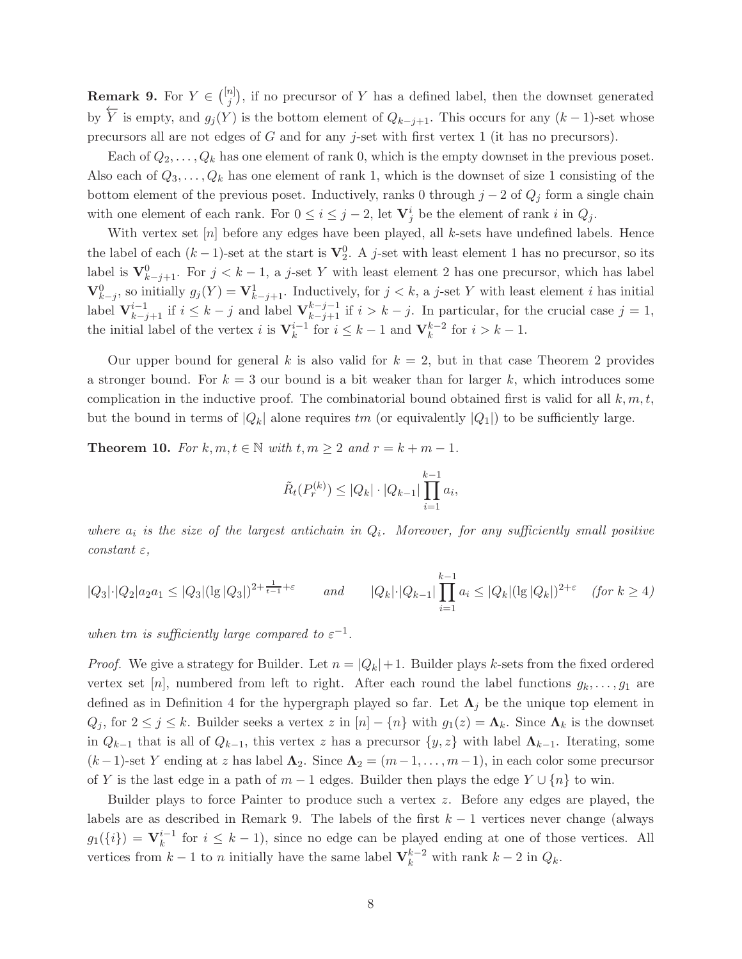**Remark 9.** For  $Y \in \binom{[n]}{j}$  $\binom{n}{j}$ , if no precursor of Y has a defined label, then the downset generated by  $\overline{Y}$  is empty, and  $g_j(Y)$  is the bottom element of  $Q_{k-j+1}$ . This occurs for any  $(k-1)$ -set whose precursors all are not edges of G and for any j-set with first vertex 1 (it has no precursors).

Each of  $Q_2, \ldots, Q_k$  has one element of rank 0, which is the empty downset in the previous poset. Also each of  $Q_3, \ldots, Q_k$  has one element of rank 1, which is the downset of size 1 consisting of the bottom element of the previous poset. Inductively, ranks 0 through  $j-2$  of  $Q_j$  form a single chain with one element of each rank. For  $0 \le i \le j-2$ , let  $\mathbf{V}_j^i$  be the element of rank i in  $Q_j$ .

With vertex set  $[n]$  before any edges have been played, all k-sets have undefined labels. Hence the label of each  $(k-1)$ -set at the start is  $\mathbf{V}_2^0$ . A j-set with least element 1 has no precursor, so its label is  $\mathbf{V}_{k-j+1}^0$ . For  $j < k-1$ , a j-set Y with least element 2 has one precursor, which has label  $\mathbf{V}_{k-j}^0$ , so initially  $g_j(Y) = \mathbf{V}_{k-j+1}^1$ . Inductively, for  $j < k$ , a j-set Y with least element i has initial label  $\mathbf{V}_{k-j+1}^{i-1}$  if  $i \leq k-j$  and label  $\mathbf{V}_{k-j+1}^{k-j-1}$  if  $i > k-j$ . In particular, for the crucial case  $j = 1$ , the initial label of the vertex *i* is  $V_k^{i-1}$  for  $i \leq k-1$  and  $V_k^{k-2}$  for  $i > k-1$ .

Our upper bound for general k is also valid for  $k = 2$ , but in that case Theorem 2 provides a stronger bound. For  $k = 3$  our bound is a bit weaker than for larger k, which introduces some complication in the inductive proof. The combinatorial bound obtained first is valid for all  $k, m, t$ , but the bound in terms of  $|Q_k|$  alone requires tm (or equivalently  $|Q_1|$ ) to be sufficiently large.

**Theorem 10.** For  $k, m, t \in \mathbb{N}$  with  $t, m \geq 2$  and  $r = k + m - 1$ .

$$
\tilde{R}_t(P_r^{(k)}) \le |Q_k| \cdot |Q_{k-1}| \prod_{i=1}^{k-1} a_i,
$$

where  $a_i$  is the size of the largest antichain in  $Q_i$ . Moreover, for any sufficiently small positive constant  $\varepsilon$ ,

$$
|Q_3| \cdot |Q_2| a_2 a_1 \le |Q_3| (|g||Q_3|)^{2 + \frac{1}{t-1} + \varepsilon} \qquad \text{and} \qquad |Q_k| \cdot |Q_{k-1}| \prod_{i=1}^{k-1} a_i \le |Q_k| (|g||Q_k|)^{2 + \varepsilon} \quad (\text{for } k \ge 4)
$$

when tm is sufficiently large compared to  $\varepsilon^{-1}$ .

*Proof.* We give a strategy for Builder. Let  $n = |Q_k| + 1$ . Builder plays k-sets from the fixed ordered vertex set [n], numbered from left to right. After each round the label functions  $g_k, \ldots, g_1$  are defined as in Definition 4 for the hypergraph played so far. Let  $\Lambda_j$  be the unique top element in  $Q_j$ , for  $2 \leq j \leq k$ . Builder seeks a vertex z in  $[n] - \{n\}$  with  $g_1(z) = \Lambda_k$ . Since  $\Lambda_k$  is the downset in  $Q_{k-1}$  that is all of  $Q_{k-1}$ , this vertex z has a precursor  $\{y, z\}$  with label  $\Lambda_{k-1}$ . Iterating, some  $(k-1)$ -set Y ending at z has label  $\Lambda_2$ . Since  $\Lambda_2 = (m-1, \ldots, m-1)$ , in each color some precursor of Y is the last edge in a path of  $m-1$  edges. Builder then plays the edge  $Y \cup \{n\}$  to win.

Builder plays to force Painter to produce such a vertex z. Before any edges are played, the labels are as described in Remark 9. The labels of the first  $k - 1$  vertices never change (always  $g_1({i}) = \mathbf{V}_k^{i-1}$  for  $i \leq k-1$ , since no edge can be played ending at one of those vertices. All vertices from  $k-1$  to n initially have the same label  $\mathbf{V}_k^{k-2}$  with rank  $k-2$  in  $Q_k$ .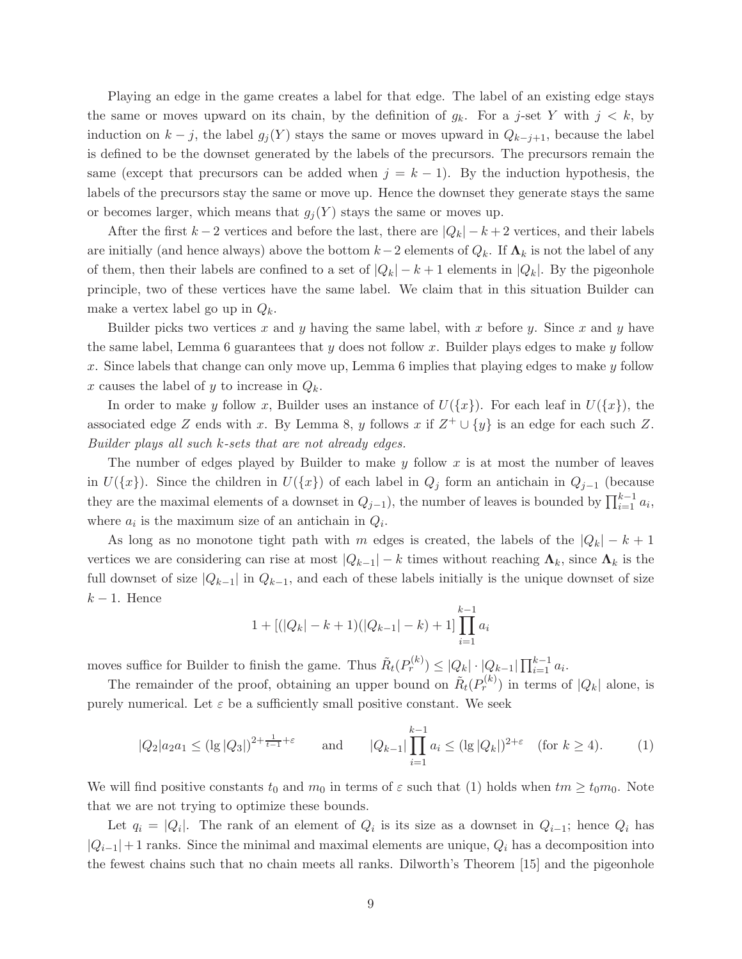Playing an edge in the game creates a label for that edge. The label of an existing edge stays the same or moves upward on its chain, by the definition of  $g_k$ . For a j-set Y with  $j < k$ , by induction on  $k - j$ , the label  $g_j(Y)$  stays the same or moves upward in  $Q_{k-j+1}$ , because the label is defined to be the downset generated by the labels of the precursors. The precursors remain the same (except that precursors can be added when  $j = k - 1$ ). By the induction hypothesis, the labels of the precursors stay the same or move up. Hence the downset they generate stays the same or becomes larger, which means that  $g_j(Y)$  stays the same or moves up.

After the first  $k-2$  vertices and before the last, there are  $|Q_k| - k + 2$  vertices, and their labels are initially (and hence always) above the bottom  $k-2$  elements of  $Q_k$ . If  $\Lambda_k$  is not the label of any of them, then their labels are confined to a set of  $|Q_k| - k + 1$  elements in  $|Q_k|$ . By the pigeonhole principle, two of these vertices have the same label. We claim that in this situation Builder can make a vertex label go up in  $Q_k$ .

Builder picks two vertices x and y having the same label, with x before y. Since x and y have the same label, Lemma 6 guarantees that  $y$  does not follow x. Builder plays edges to make  $y$  follow x. Since labels that change can only move up, Lemma 6 implies that playing edges to make y follow x causes the label of y to increase in  $Q_k$ .

In order to make y follow x, Builder uses an instance of  $U({x})$ . For each leaf in  $U({x})$ , the associated edge Z ends with x. By Lemma 8, y follows x if  $Z^+ \cup \{y\}$  is an edge for each such Z. Builder plays all such k-sets that are not already edges.

The number of edges played by Builder to make  $y$  follow x is at most the number of leaves in  $U(\lbrace x \rbrace)$ . Since the children in  $U(\lbrace x \rbrace)$  of each label in  $Q_j$  form an antichain in  $Q_{j-1}$  (because they are the maximal elements of a downset in  $Q_{j-1}$ ), the number of leaves is bounded by  $\prod_{i=1}^{k-1} a_i$ , where  $a_i$  is the maximum size of an antichain in  $Q_i$ .

As long as no monotone tight path with m edges is created, the labels of the  $|Q_k| - k + 1$ vertices we are considering can rise at most  $|Q_{k-1}| - k$  times without reaching  $\Lambda_k$ , since  $\Lambda_k$  is the full downset of size  $|Q_{k-1}|$  in  $Q_{k-1}$ , and each of these labels initially is the unique downset of size  $k-1$ . Hence

$$
1 + [(|Q_k| - k + 1)(|Q_{k-1}| - k) + 1] \prod_{i=1}^{k-1} a_i
$$

moves suffice for Builder to finish the game. Thus  $\tilde{R}_t(P_r^{(k)}) \leq |Q_k| \cdot |Q_{k-1}| \prod_{i=1}^{k-1} a_i$ .

The remainder of the proof, obtaining an upper bound on  $\tilde{R}_t(P_r^{(k)})$  in terms of  $|Q_k|$  alone, is purely numerical. Let  $\varepsilon$  be a sufficiently small positive constant. We seek

$$
|Q_2|a_2a_1 \leq (|g||Q_3|)^{2+\frac{1}{t-1}+\varepsilon} \quad \text{and} \quad |Q_{k-1}|\prod_{i=1}^{k-1} a_i \leq (|g||Q_k|)^{2+\varepsilon} \quad (\text{for } k \geq 4). \tag{1}
$$

We will find positive constants  $t_0$  and  $m_0$  in terms of  $\varepsilon$  such that (1) holds when  $tm \geq t_0m_0$ . Note that we are not trying to optimize these bounds.

Let  $q_i = |Q_i|$ . The rank of an element of  $Q_i$  is its size as a downset in  $Q_{i-1}$ ; hence  $Q_i$  has  $|Q_{i-1}|+1$  ranks. Since the minimal and maximal elements are unique,  $Q_i$  has a decomposition into the fewest chains such that no chain meets all ranks. Dilworth's Theorem [15] and the pigeonhole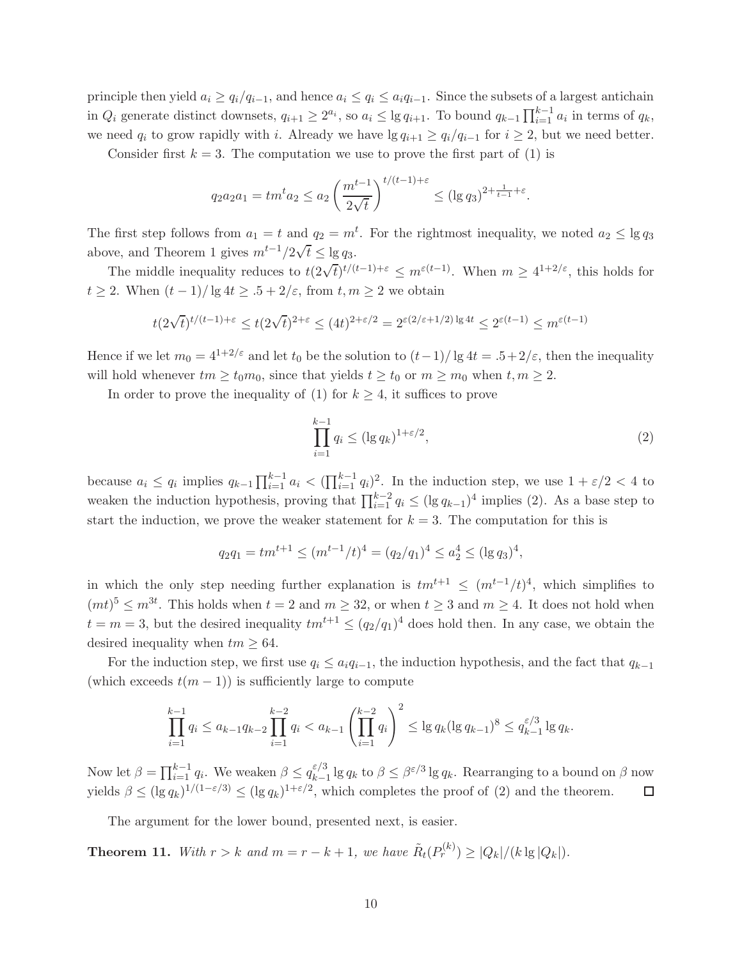principle then yield  $a_i \ge q_i/q_{i-1}$ , and hence  $a_i \le q_i \le a_i q_{i-1}$ . Since the subsets of a largest antichain in  $Q_i$  generate distinct downsets,  $q_{i+1} \geq 2^{a_i}$ , so  $a_i \leq \lg q_{i+1}$ . To bound  $q_{k-1} \prod_{i=1}^{k-1} a_i$  in terms of  $q_k$ , we need  $q_i$  to grow rapidly with i. Already we have lg  $q_{i+1} \ge q_i/q_{i-1}$  for  $i \ge 2$ , but we need better.

Consider first  $k = 3$ . The computation we use to prove the first part of (1) is

$$
q_2 a_2 a_1 = t m^t a_2 \le a_2 \left(\frac{m^{t-1}}{2\sqrt{t}}\right)^{t/(t-1)+\varepsilon} \le (\log q_3)^{2+\frac{1}{t-1}+\varepsilon}
$$

The first step follows from  $a_1 = t$  and  $q_2 = m^t$ . For the rightmost inequality, we noted  $a_2 \le \lg q_3$ above, and Theorem 1 gives  $m^{t-1}/2\sqrt{t} \leq \lg q_3$ .

The middle inequality reduces to  $t(2\sqrt{t})^{t/(t-1)+\varepsilon} \leq m^{\varepsilon(t-1)}$ . When  $m \geq 4^{1+2/\varepsilon}$ , this holds for  $t \geq 2$ . When  $(t-1)/\lg 4t \geq .5 + 2/\varepsilon$ , from  $t, m \geq 2$  we obtain

$$
t(2\sqrt{t})^{t/(t-1)+\varepsilon}\leq t(2\sqrt{t})^{2+\varepsilon}\leq (4t)^{2+\varepsilon/2}=2^{\varepsilon(2/\varepsilon+1/2)\lg 4t}\leq 2^{\varepsilon(t-1)}\leq m^{\varepsilon(t-1)}
$$

Hence if we let  $m_0 = 4^{1+2/\varepsilon}$  and let  $t_0$  be the solution to  $(t-1)/\lg 4t = .5+2/\varepsilon$ , then the inequality will hold whenever  $tm \geq t_0m_0$ , since that yields  $t \geq t_0$  or  $m \geq m_0$  when  $t, m \geq 2$ .

In order to prove the inequality of (1) for  $k \geq 4$ , it suffices to prove

$$
\prod_{i=1}^{k-1} q_i \le (\lg q_k)^{1+\varepsilon/2},\tag{2}
$$

.

because  $a_i \leq q_i$  implies  $q_{k-1} \prod_{i=1}^{k-1} a_i < (\prod_{i=1}^{k-1} q_i)^2$ . In the induction step, we use  $1 + \varepsilon/2 < 4$  to weaken the induction hypothesis, proving that  $\prod_{i=1}^{k-2} q_i \leq (\lg q_{k-1})^4$  implies (2). As a base step to start the induction, we prove the weaker statement for  $k = 3$ . The computation for this is

$$
q_2 q_1 = t m^{t+1} \le (m^{t-1}/t)^4 = (q_2/q_1)^4 \le a_2^4 \le (\lg q_3)^4,
$$

in which the only step needing further explanation is  $tm^{t+1} \n\t\leq (m^{t-1}/t)^4$ , which simplifies to  $(mt)<sup>5</sup> \leq m<sup>3t</sup>$ . This holds when  $t = 2$  and  $m \geq 32$ , or when  $t \geq 3$  and  $m \geq 4$ . It does not hold when  $t = m = 3$ , but the desired inequality  $tm^{t+1} \leq (q_2/q_1)^4$  does hold then. In any case, we obtain the desired inequality when  $tm \geq 64$ .

For the induction step, we first use  $q_i \leq a_i q_{i-1}$ , the induction hypothesis, and the fact that  $q_{k-1}$ (which exceeds  $t(m-1)$ ) is sufficiently large to compute

$$
\prod_{i=1}^{k-1} q_i \le a_{k-1} q_{k-2} \prod_{i=1}^{k-2} q_i < a_{k-1} \left( \prod_{i=1}^{k-2} q_i \right)^2 \le \lg q_k (\lg q_{k-1})^8 \le q_{k-1}^{\varepsilon/3} \lg q_k.
$$

Now let  $\beta = \prod_{i=1}^{k-1} q_i$ . We weaken  $\beta \le q_{k-1}^{\varepsilon/3}$  $\epsilon/3$ <sub>k−1</sub> lg q<sub>k</sub> to  $\beta \leq \beta$ <sup>ε/3</sup> lg q<sub>k</sub>. Rearranging to a bound on  $\beta$  now yields  $\beta \leq (\lg q_k)^{1/(1-\varepsilon/3)} \leq (\lg q_k)^{1+\varepsilon/2}$ , which completes the proof of (2) and the theorem.  $\Box$ 

The argument for the lower bound, presented next, is easier.

**Theorem 11.** With  $r > k$  and  $m = r - k + 1$ , we have  $\tilde{R}_t(P_r^{(k)}) \geq |Q_k|/(k \lg |Q_k|)$ .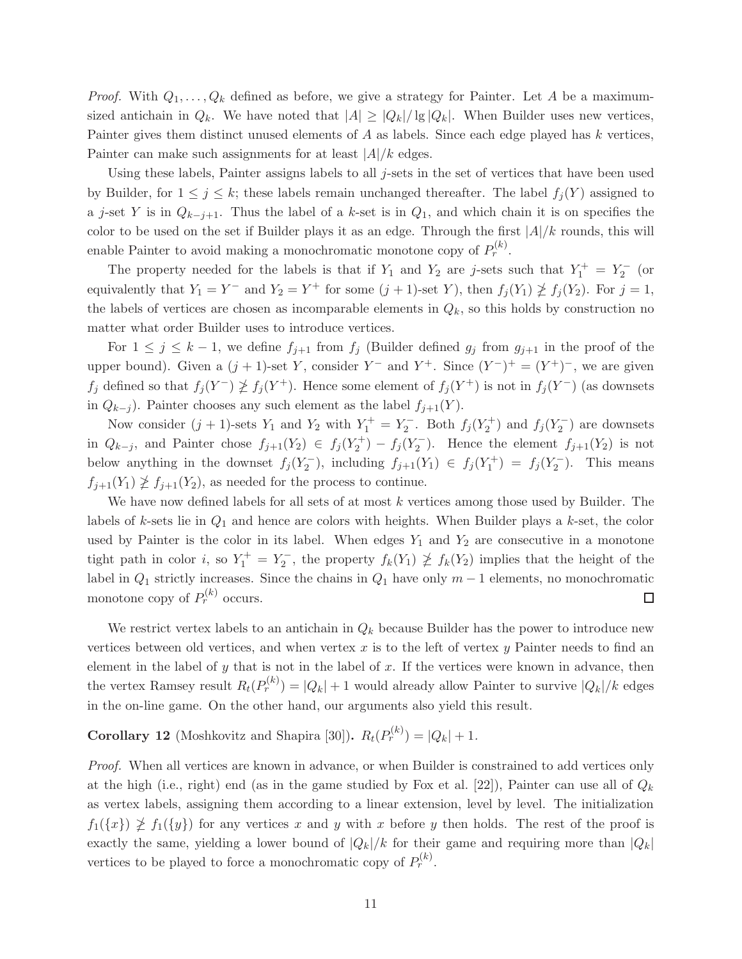*Proof.* With  $Q_1, \ldots, Q_k$  defined as before, we give a strategy for Painter. Let A be a maximumsized antichain in  $Q_k$ . We have noted that  $|A| \geq |Q_k|/|g|Q_k|$ . When Builder uses new vertices, Painter gives them distinct unused elements of A as labels. Since each edge played has k vertices, Painter can make such assignments for at least  $|A|/k$  edges.

Using these labels, Painter assigns labels to all  $j$ -sets in the set of vertices that have been used by Builder, for  $1 \leq j \leq k$ ; these labels remain unchanged thereafter. The label  $f_i(Y)$  assigned to a j-set Y is in  $Q_{k-j+1}$ . Thus the label of a k-set is in  $Q_1$ , and which chain it is on specifies the color to be used on the set if Builder plays it as an edge. Through the first  $|A|/k$  rounds, this will enable Painter to avoid making a monochromatic monotone copy of  $P_r^{(k)}$ .

The property needed for the labels is that if  $Y_1$  and  $Y_2$  are j-sets such that  $Y_1^+ = Y_2^-$  (or equivalently that  $Y_1 = Y^-$  and  $Y_2 = Y^+$  for some  $(j + 1)$ -set Y), then  $f_j(Y_1) \ngeq f_j(Y_2)$ . For  $j = 1$ , the labels of vertices are chosen as incomparable elements in  $Q_k$ , so this holds by construction no matter what order Builder uses to introduce vertices.

For  $1 \leq j \leq k-1$ , we define  $f_{j+1}$  from  $f_j$  (Builder defined  $g_j$  from  $g_{j+1}$  in the proof of the upper bound). Given a  $(j + 1)$ -set Y, consider Y<sup>-</sup> and Y<sup>+</sup>. Since  $(Y^-)^+ = (Y^+)^-$ , we are given  $f_j$  defined so that  $f_j(Y^-) \ngeq f_j(Y^+)$ . Hence some element of  $f_j(Y^+)$  is not in  $f_j(Y^-)$  (as downsets in  $Q_{k-j}$ ). Painter chooses any such element as the label  $f_{j+1}(Y)$ .

Now consider  $(j + 1)$ -sets  $Y_1$  and  $Y_2$  with  $Y_1^+ = Y_2^-$ . Both  $f_j(Y_2^+)$  and  $f_j(Y_2^-)$  are downsets in  $Q_{k-j}$ , and Painter chose  $f_{j+1}(Y_2) \in f_j(Y_2^+) - f_j(Y_2^-)$ . Hence the element  $f_{j+1}(Y_2)$  is not below anything in the downset  $f_j(Y_2^-)$ , including  $f_{j+1}(Y_1) \in f_j(Y_1^+) = f_j(Y_2^-)$ . This means  $f_{j+1}(Y_1) \nleq f_{j+1}(Y_2)$ , as needed for the process to continue.

We have now defined labels for all sets of at most  $k$  vertices among those used by Builder. The labels of k-sets lie in  $Q_1$  and hence are colors with heights. When Builder plays a k-set, the color used by Painter is the color in its label. When edges  $Y_1$  and  $Y_2$  are consecutive in a monotone tight path in color *i*, so  $Y_1^+ = Y_2^-$ , the property  $f_k(Y_1) \not\geq f_k(Y_2)$  implies that the height of the label in  $Q_1$  strictly increases. Since the chains in  $Q_1$  have only  $m-1$  elements, no monochromatic monotone copy of  $P_r^{(k)}$  occurs.  $\Box$ 

We restrict vertex labels to an antichain in  $Q_k$  because Builder has the power to introduce new vertices between old vertices, and when vertex  $x$  is to the left of vertex  $y$  Painter needs to find an element in the label of  $y$  that is not in the label of  $x$ . If the vertices were known in advance, then the vertex Ramsey result  $R_t(P_r^{(k)}) = |Q_k| + 1$  would already allow Painter to survive  $|Q_k|/k$  edges in the on-line game. On the other hand, our arguments also yield this result.

**Corollary 12** (Moshkovitz and Shapira [30]).  $R_t(P_r^{(k)}) = |Q_k| + 1$ .

Proof. When all vertices are known in advance, or when Builder is constrained to add vertices only at the high (i.e., right) end (as in the game studied by Fox et al. [22]), Painter can use all of  $Q_k$ as vertex labels, assigning them according to a linear extension, level by level. The initialization  $f_1({x}) \not\geq f_1({y})$  for any vertices x and y with x before y then holds. The rest of the proof is exactly the same, yielding a lower bound of  $|Q_k|/k$  for their game and requiring more than  $|Q_k|$ vertices to be played to force a monochromatic copy of  $P_r^{(k)}$ .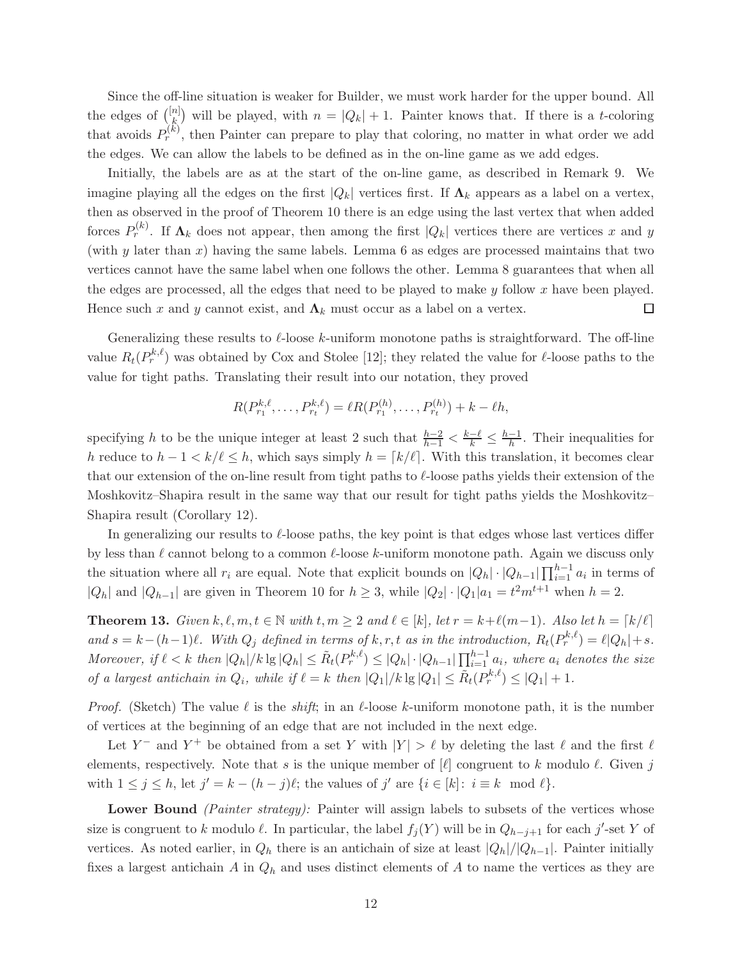Since the off-line situation is weaker for Builder, we must work harder for the upper bound. All the edges of  $\binom{[n]}{k}$ <sup>n</sup>|) will be played, with  $n = |Q_k| + 1$ . Painter knows that. If there is a *t*-coloring that avoids  $P_r^{(k)}$ , then Painter can prepare to play that coloring, no matter in what order we add the edges. We can allow the labels to be defined as in the on-line game as we add edges.

Initially, the labels are as at the start of the on-line game, as described in Remark 9. We imagine playing all the edges on the first  $|Q_k|$  vertices first. If  $\Lambda_k$  appears as a label on a vertex, then as observed in the proof of Theorem 10 there is an edge using the last vertex that when added forces  $P_r^{(k)}$ . If  $\Lambda_k$  does not appear, then among the first  $|Q_k|$  vertices there are vertices x and y (with y later than  $x$ ) having the same labels. Lemma 6 as edges are processed maintains that two vertices cannot have the same label when one follows the other. Lemma 8 guarantees that when all the edges are processed, all the edges that need to be played to make  $y$  follow  $x$  have been played. Hence such x and y cannot exist, and  $\Lambda_k$  must occur as a label on a vertex. □

Generalizing these results to  $\ell$ -loose k-uniform monotone paths is straightforward. The off-line value  $R_t(P_r^{k,\ell})$  was obtained by Cox and Stolee [12]; they related the value for  $\ell$ -loose paths to the value for tight paths. Translating their result into our notation, they proved

$$
R(P_{r_1}^{k,\ell},\ldots,P_{r_t}^{k,\ell})=\ell R(P_{r_1}^{(h)},\ldots,P_{r_t}^{(h)})+k-\ell h,
$$

specifying h to be the unique integer at least 2 such that  $\frac{h-2}{h-1} < \frac{k-\ell}{k} \leq \frac{h-1}{h}$ . Their inequalities for h reduce to  $h-1 < k/\ell \leq h$ , which says simply  $h = \lceil k/\ell \rceil$ . With this translation, it becomes clear that our extension of the on-line result from tight paths to  $\ell$ -loose paths yields their extension of the Moshkovitz–Shapira result in the same way that our result for tight paths yields the Moshkovitz– Shapira result (Corollary 12).

In generalizing our results to  $\ell$ -loose paths, the key point is that edges whose last vertices differ by less than  $\ell$  cannot belong to a common  $\ell$ -loose k-uniform monotone path. Again we discuss only the situation where all  $r_i$  are equal. Note that explicit bounds on  $|Q_h| \cdot |Q_{h-1}| \prod_{i=1}^{h-1} a_i$  in terms of  $|Q_h|$  and  $|Q_{h-1}|$  are given in Theorem 10 for  $h \geq 3$ , while  $|Q_2| \cdot |Q_1| a_1 = t^2 m^{t+1}$  when  $h = 2$ .

**Theorem 13.** Given  $k, \ell, m, t \in \mathbb{N}$  with  $t, m \geq 2$  and  $\ell \in [k]$ , let  $r = k + \ell(m-1)$ . Also let  $h = \lceil k/\ell \rceil$ and  $s = k - (h-1)\ell$ . With  $Q_j$  defined in terms of  $k, r, t$  as in the introduction,  $R_t(P_r^{k,\ell}) = \ell |Q_h| + s$ . Moreover, if  $\ell < k$  then  $|Q_h|/k \lg |Q_h| \leq \tilde{R}_t(P_r^{k,\ell}) \leq |Q_h| \cdot |Q_{h-1}| \prod_{i=1}^{h-1} a_i$ , where  $a_i$  denotes the size of a largest antichain in  $Q_i$ , while if  $\ell = k$  then  $|Q_1|/k \lg |Q_1| \leq \tilde{R}_t(P_r^{k,\ell}) \leq |Q_1| + 1$ .

*Proof.* (Sketch) The value  $\ell$  is the *shift*; in an  $\ell$ -loose k-uniform monotone path, it is the number of vertices at the beginning of an edge that are not included in the next edge.

Let Y<sup>-</sup> and Y<sup>+</sup> be obtained from a set Y with  $|Y| > \ell$  by deleting the last  $\ell$  and the first  $\ell$ elements, respectively. Note that s is the unique member of  $\ell$  congruent to k modulo  $\ell$ . Given j with  $1 \leq j \leq h$ , let  $j' = k - (h - j)\ell$ ; the values of  $j'$  are  $\{i \in [k]: i \equiv k \mod \ell\}$ .

Lower Bound (Painter strategy): Painter will assign labels to subsets of the vertices whose size is congruent to k modulo  $\ell$ . In particular, the label  $f_j(Y)$  will be in  $Q_{h-j+1}$  for each j'-set Y of vertices. As noted earlier, in  $Q_h$  there is an antichain of size at least  $|Q_h|/|Q_{h-1}|$ . Painter initially fixes a largest antichain A in  $Q_h$  and uses distinct elements of A to name the vertices as they are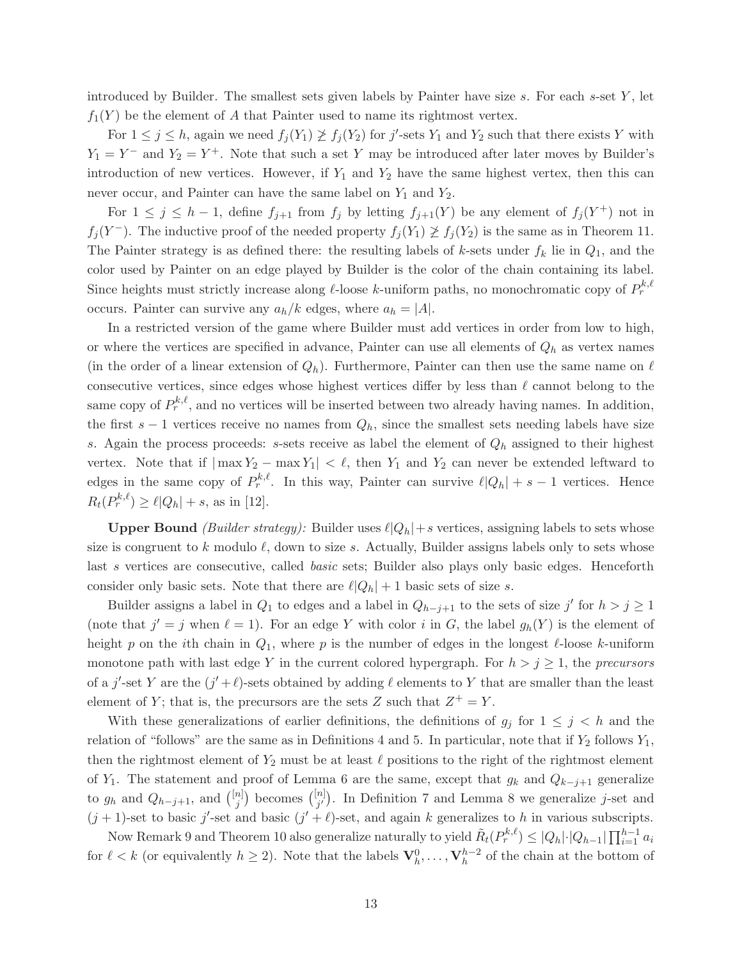introduced by Builder. The smallest sets given labels by Painter have size  $s$ . For each  $s$ -set  $Y$ , let  $f_1(Y)$  be the element of A that Painter used to name its rightmost vertex.

For  $1 \leq j \leq h$ , again we need  $f_j(Y_1) \not\geq f_j(Y_2)$  for j'-sets  $Y_1$  and  $Y_2$  such that there exists Y with  $Y_1 = Y^-$  and  $Y_2 = Y^+$ . Note that such a set Y may be introduced after later moves by Builder's introduction of new vertices. However, if  $Y_1$  and  $Y_2$  have the same highest vertex, then this can never occur, and Painter can have the same label on  $Y_1$  and  $Y_2$ .

For  $1 \leq j \leq h-1$ , define  $f_{j+1}$  from  $f_j$  by letting  $f_{j+1}(Y)$  be any element of  $f_j(Y^+)$  not in  $f_j(Y^-)$ . The inductive proof of the needed property  $f_j(Y_1) \not\geq f_j(Y_2)$  is the same as in Theorem 11. The Painter strategy is as defined there: the resulting labels of k-sets under  $f_k$  lie in  $Q_1$ , and the color used by Painter on an edge played by Builder is the color of the chain containing its label. Since heights must strictly increase along  $\ell$ -loose k-uniform paths, no monochromatic copy of  $P_r^{k,\ell}$ occurs. Painter can survive any  $a_h/k$  edges, where  $a_h = |A|$ .

In a restricted version of the game where Builder must add vertices in order from low to high, or where the vertices are specified in advance, Painter can use all elements of  $Q_h$  as vertex names (in the order of a linear extension of  $Q_h$ ). Furthermore, Painter can then use the same name on  $\ell$ consecutive vertices, since edges whose highest vertices differ by less than  $\ell$  cannot belong to the same copy of  $P_r^{k,\ell}$ , and no vertices will be inserted between two already having names. In addition, the first  $s - 1$  vertices receive no names from  $Q_h$ , since the smallest sets needing labels have size s. Again the process proceeds: s-sets receive as label the element of  $Q_h$  assigned to their highest vertex. Note that if  $|\max Y_2 - \max Y_1| < \ell$ , then  $Y_1$  and  $Y_2$  can never be extended leftward to edges in the same copy of  $P_r^{k,\ell}$ . In this way, Painter can survive  $\ell |Q_h| + s - 1$  vertices. Hence  $R_t(P_r^{k,\ell}) \ge \ell |Q_h| + s$ , as in [12].

**Upper Bound** (Builder strategy): Builder uses  $\ell |Q_h| + s$  vertices, assigning labels to sets whose size is congruent to k modulo  $\ell$ , down to size s. Actually, Builder assigns labels only to sets whose last s vertices are consecutive, called *basic* sets; Builder also plays only basic edges. Henceforth consider only basic sets. Note that there are  $\ell |Q_h| + 1$  basic sets of size s.

Builder assigns a label in  $Q_1$  to edges and a label in  $Q_{h-j+1}$  to the sets of size j' for  $h > j \ge 1$ (note that  $j' = j$  when  $\ell = 1$ ). For an edge Y with color i in G, the label  $g_h(Y)$  is the element of height p on the *i*th chain in  $Q_1$ , where p is the number of edges in the longest  $\ell$ -loose k-uniform monotone path with last edge Y in the current colored hypergraph. For  $h > j \geq 1$ , the precursors of a j'-set Y are the  $(j' + \ell)$ -sets obtained by adding  $\ell$  elements to Y that are smaller than the least element of Y; that is, the precursors are the sets Z such that  $Z^+ = Y$ .

With these generalizations of earlier definitions, the definitions of  $g_j$  for  $1 \leq j \leq h$  and the relation of "follows" are the same as in Definitions 4 and 5. In particular, note that if  $Y_2$  follows  $Y_1$ , then the rightmost element of  $Y_2$  must be at least  $\ell$  positions to the right of the rightmost element of Y<sub>1</sub>. The statement and proof of Lemma 6 are the same, except that  $g_k$  and  $Q_{k-j+1}$  generalize to  $g_h$  and  $Q_{h-j+1}$ , and  $\binom{[n]}{i}$  $\binom{n}{j}$  becomes  $\binom{[n]}{j'}$  $j'$ ). In Definition 7 and Lemma 8 we generalize *j*-set and  $(j + 1)$ -set to basic j'-set and basic  $(j' + \ell)$ -set, and again k generalizes to h in various subscripts.

Now Remark 9 and Theorem 10 also generalize naturally to yield  $\tilde{R}_t(P_r^{k,\ell}) \leq |Q_h| \cdot |Q_{h-1}| \prod_{i=1}^{h-1} a_i$ for  $\ell < k$  (or equivalently  $h \geq 2$ ). Note that the labels  $\mathbf{V}_h^0, \ldots, \mathbf{V}_h^{h-2}$  of the chain at the bottom of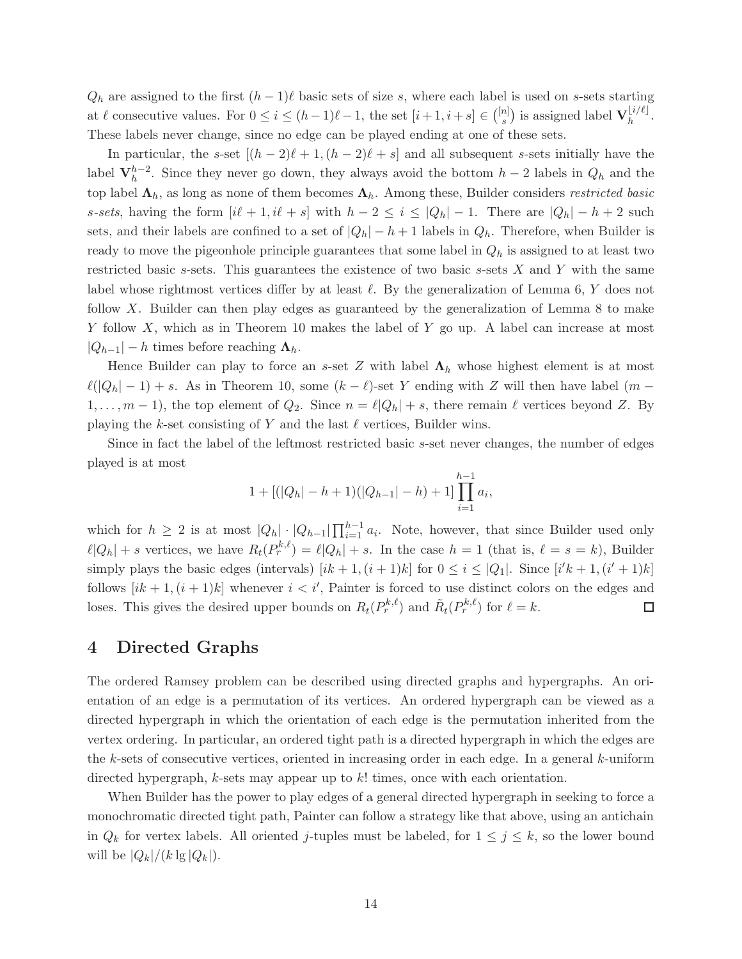$Q_h$  are assigned to the first  $(h-1)\ell$  basic sets of size s, where each label is used on s-sets starting at  $\ell$  consecutive values. For  $0 \leq i \leq (h-1)\ell - 1$ , the set  $[i+1, i+s] \in \binom{[n]}{s}$  ${s}^{[n]}_{s}$ ) is assigned label  ${\bf V}_h^{\lfloor i/\ell \rfloor}$  $h^{\iota/\iota}$ . These labels never change, since no edge can be played ending at one of these sets.

In particular, the s-set  $[(h-2)\ell+1,(h-2)\ell+s]$  and all subsequent s-sets initially have the label  $V_h^{h-2}$ . Since they never go down, they always avoid the bottom  $h-2$  labels in  $Q_h$  and the top label  $\Lambda_h$ , as long as none of them becomes  $\Lambda_h$ . Among these, Builder considers restricted basic s-sets, having the form  $[i\ell + 1, i\ell + s]$  with  $h - 2 \leq i \leq |Q_h| - 1$ . There are  $|Q_h| - h + 2$  such sets, and their labels are confined to a set of  $|Q_h| - h + 1$  labels in  $Q_h$ . Therefore, when Builder is ready to move the pigeonhole principle guarantees that some label in  $Q_h$  is assigned to at least two restricted basic s-sets. This guarantees the existence of two basic s-sets  $X$  and  $Y$  with the same label whose rightmost vertices differ by at least  $\ell$ . By the generalization of Lemma 6, Y does not follow X. Builder can then play edges as guaranteed by the generalization of Lemma 8 to make Y follow X, which as in Theorem 10 makes the label of Y go up. A label can increase at most  $|Q_{h-1}| - h$  times before reaching  $\Lambda_h$ .

Hence Builder can play to force an s-set Z with label  $\Lambda_h$  whose highest element is at most  $\ell(|Q_h| - 1) + s$ . As in Theorem 10, some  $(k - \ell)$ -set Y ending with Z will then have label  $(m - \ell)$  $1, \ldots, m-1$ , the top element of  $Q_2$ . Since  $n = \ell |Q_h| + s$ , there remain  $\ell$  vertices beyond Z. By playing the k-set consisting of Y and the last  $\ell$  vertices, Builder wins.

Since in fact the label of the leftmost restricted basic s-set never changes, the number of edges played is at most

$$
1+[(|Q_h| - h + 1)(|Q_{h-1}| - h) + 1]\prod_{i=1}^{h-1} a_i,
$$

which for  $h \geq 2$  is at most  $|Q_h| \cdot |Q_{h-1}| \prod_{i=1}^{h-1} a_i$ . Note, however, that since Builder used only  $\ell |Q_h| + s$  vertices, we have  $R_t(P_r^{k,\ell}) = \ell |Q_h| + s$ . In the case  $h = 1$  (that is,  $\ell = s = k$ ), Builder simply plays the basic edges (intervals)  $[ik+1,(i+1)k]$  for  $0 \le i \le |Q_1|$ . Since  $[i'k+1,(i'+1)k]$ follows  $[ik + 1, (i + 1)k]$  whenever  $i < i'$ , Painter is forced to use distinct colors on the edges and loses. This gives the desired upper bounds on  $R_t(P_r^{k,\ell})$  and  $\tilde{R}_t(P_r^{k,\ell})$  for  $\ell = k$ .  $\Box$ 

#### 4 Directed Graphs

The ordered Ramsey problem can be described using directed graphs and hypergraphs. An orientation of an edge is a permutation of its vertices. An ordered hypergraph can be viewed as a directed hypergraph in which the orientation of each edge is the permutation inherited from the vertex ordering. In particular, an ordered tight path is a directed hypergraph in which the edges are the k-sets of consecutive vertices, oriented in increasing order in each edge. In a general k-uniform directed hypergraph,  $k$ -sets may appear up to  $k!$  times, once with each orientation.

When Builder has the power to play edges of a general directed hypergraph in seeking to force a monochromatic directed tight path, Painter can follow a strategy like that above, using an antichain in  $Q_k$  for vertex labels. All oriented j-tuples must be labeled, for  $1 \leq j \leq k$ , so the lower bound will be  $|Q_k|/(k \lg |Q_k|)$ .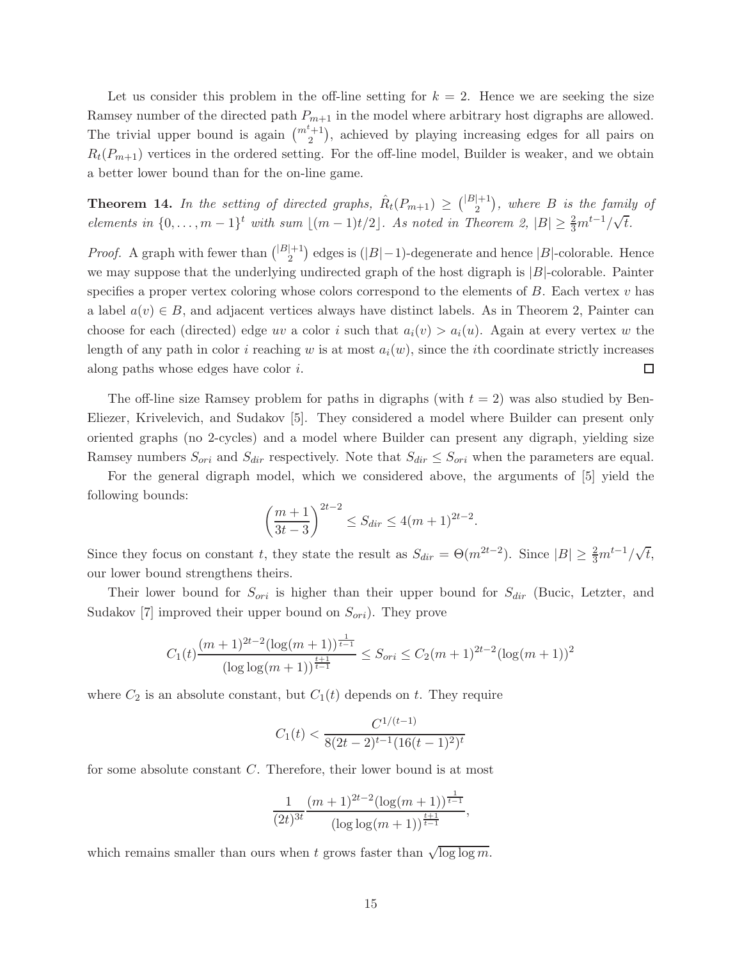Let us consider this problem in the off-line setting for  $k = 2$ . Hence we are seeking the size Ramsey number of the directed path  $P_{m+1}$  in the model where arbitrary host digraphs are allowed. The trivial upper bound is again  $\binom{m^{t}+1}{2}$ , achieved by playing increasing edges for all pairs on  $R_t(P_{m+1})$  vertices in the ordered setting. For the off-line model, Builder is weaker, and we obtain a better lower bound than for the on-line game.

**Theorem 14.** In the setting of directed graphs,  $\hat{R}_t(P_{m+1}) \geq { |B| + 1 \choose 2}$  $\binom{+1}{2}$ , where B is the family of elements in  $\{0,\ldots,m-1\}^t$  with sum  $\lfloor (m-1)t/2 \rfloor$ . As noted in Theorem 2,  $|B| \geq \frac{2}{3}m^{t-1}/\sqrt{t}$ .

*Proof.* A graph with fewer than  $\binom{|B|+1}{2}$  $\binom{+1}{2}$  edges is  $(|B|-1)$ -degenerate and hence  $|B|$ -colorable. Hence we may suppose that the underlying undirected graph of the host digraph is  $|B|$ -colorable. Painter specifies a proper vertex coloring whose colors correspond to the elements of  $B$ . Each vertex  $v$  has a label  $a(v) \in B$ , and adjacent vertices always have distinct labels. As in Theorem 2, Painter can choose for each (directed) edge uv a color i such that  $a_i(v) > a_i(u)$ . Again at every vertex w the length of any path in color i reaching w is at most  $a_i(w)$ , since the ith coordinate strictly increases  $\Box$ along paths whose edges have color i.

The off-line size Ramsey problem for paths in digraphs (with  $t = 2$ ) was also studied by Ben-Eliezer, Krivelevich, and Sudakov [5]. They considered a model where Builder can present only oriented graphs (no 2-cycles) and a model where Builder can present any digraph, yielding size Ramsey numbers  $S_{ori}$  and  $S_{dir}$  respectively. Note that  $S_{dir} \leq S_{ori}$  when the parameters are equal.

For the general digraph model, which we considered above, the arguments of [5] yield the following bounds:

$$
\left(\frac{m+1}{3t-3}\right)^{2t-2} \le S_{dir} \le 4(m+1)^{2t-2}.
$$

Since they focus on constant t, they state the result as  $S_{dir} = \Theta(m^{2t-2})$ . Since  $|B| \ge \frac{2}{3}m^{t-1}/\sqrt{t}$ , our lower bound strengthens theirs.

Their lower bound for  $S_{ori}$  is higher than their upper bound for  $S_{dir}$  (Bucic, Letzter, and Sudakov [7] improved their upper bound on  $S_{ori}$ ). They prove

$$
C_1(t) \frac{(m+1)^{2t-2} (\log(m+1))^{\frac{1}{t-1}}}{(\log \log(m+1))^{\frac{t+1}{t-1}}} \leq S_{ori} \leq C_2(m+1)^{2t-2} (\log(m+1))^2
$$

where  $C_2$  is an absolute constant, but  $C_1(t)$  depends on t. They require

$$
C_1(t) < \frac{C^{1/(t-1)}}{8(2t-2)^{t-1}(16(t-1)^2)^t}
$$

for some absolute constant C. Therefore, their lower bound is at most

$$
\frac{1}{(2t)^{3t}} \frac{(m+1)^{2t-2} (\log(m+1))^{\frac{1}{t-1}}}{(\log \log(m+1))^{\frac{t+1}{t-1}}},
$$

which remains smaller than ours when t grows faster than  $\sqrt{\log \log m}$ .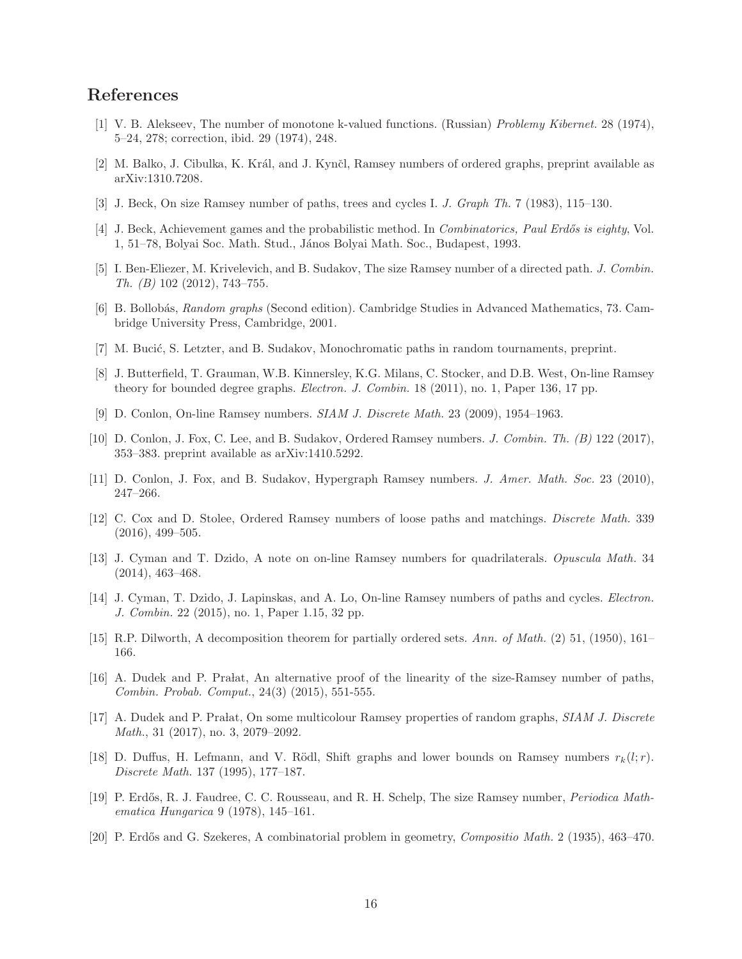# References

- [1] V. B. Alekseev, The number of monotone k-valued functions. (Russian) Problemy Kibernet. 28 (1974), 5–24, 278; correction, ibid. 29 (1974), 248.
- [2] M. Balko, J. Cibulka, K. Král, and J. Kynčl, Ramsey numbers of ordered graphs, preprint available as arXiv:1310.7208.
- [3] J. Beck, On size Ramsey number of paths, trees and cycles I. J. Graph Th. 7 (1983), 115–130.
- [4] J. Beck, Achievement games and the probabilistic method. In *Combinatorics, Paul Erdős is eighty*, Vol. 1, 51–78, Bolyai Soc. Math. Stud., J´anos Bolyai Math. Soc., Budapest, 1993.
- [5] I. Ben-Eliezer, M. Krivelevich, and B. Sudakov, The size Ramsey number of a directed path. J. Combin. Th. (B) 102 (2012), 743–755.
- [6] B. Bollob´as, Random graphs (Second edition). Cambridge Studies in Advanced Mathematics, 73. Cambridge University Press, Cambridge, 2001.
- [7] M. Bucić, S. Letzter, and B. Sudakov, Monochromatic paths in random tournaments, preprint.
- [8] J. Butterfield, T. Grauman, W.B. Kinnersley, K.G. Milans, C. Stocker, and D.B. West, On-line Ramsey theory for bounded degree graphs. Electron. J. Combin. 18 (2011), no. 1, Paper 136, 17 pp.
- [9] D. Conlon, On-line Ramsey numbers. SIAM J. Discrete Math. 23 (2009), 1954–1963.
- [10] D. Conlon, J. Fox, C. Lee, and B. Sudakov, Ordered Ramsey numbers. J. Combin. Th. (B) 122 (2017), 353–383. preprint available as arXiv:1410.5292.
- [11] D. Conlon, J. Fox, and B. Sudakov, Hypergraph Ramsey numbers. *J. Amer. Math. Soc.* 23 (2010), 247–266.
- [12] C. Cox and D. Stolee, Ordered Ramsey numbers of loose paths and matchings. Discrete Math. 339 (2016), 499–505.
- [13] J. Cyman and T. Dzido, A note on on-line Ramsey numbers for quadrilaterals. Opuscula Math. 34 (2014), 463–468.
- [14] J. Cyman, T. Dzido, J. Lapinskas, and A. Lo, On-line Ramsey numbers of paths and cycles. Electron. J. Combin. 22 (2015), no. 1, Paper 1.15, 32 pp.
- [15] R.P. Dilworth, A decomposition theorem for partially ordered sets. Ann. of Math. (2) 51, (1950), 161– 166.
- [16] A. Dudek and P. Pralat, An alternative proof of the linearity of the size-Ramsey number of paths, Combin. Probab. Comput., 24(3) (2015), 551-555.
- [17] A. Dudek and P. Pralat, On some multicolour Ramsey properties of random graphs, SIAM J. Discrete Math., 31 (2017), no. 3, 2079–2092.
- [18] D. Duffus, H. Lefmann, and V. Rödl, Shift graphs and lower bounds on Ramsey numbers  $r_k(l;r)$ . Discrete Math. 137 (1995), 177–187.
- [19] P. Erdős, R. J. Faudree, C. C. Rousseau, and R. H. Schelp, The size Ramsey number, *Periodica Math*ematica Hungarica 9 (1978), 145–161.
- [20] P. Erdős and G. Szekeres, A combinatorial problem in geometry, Compositio Math. 2 (1935), 463–470.